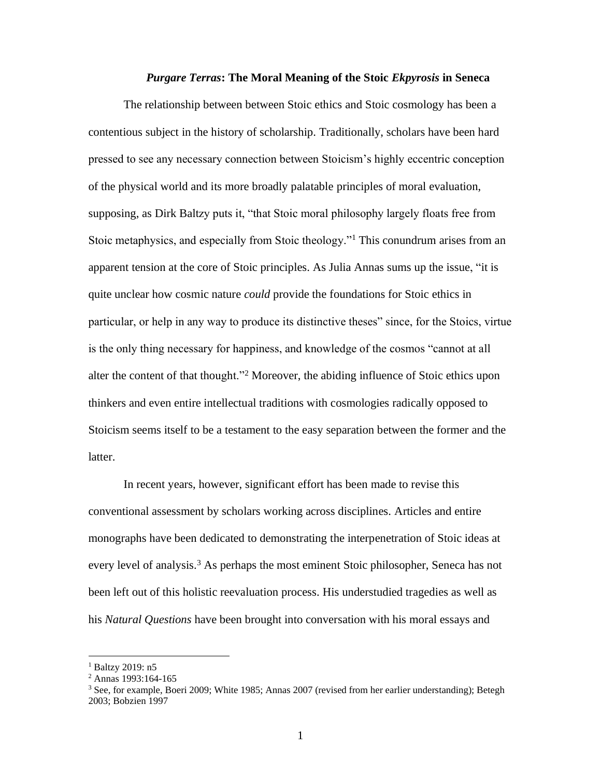## *Purgare Terras***: The Moral Meaning of the Stoic** *Ekpyrosis* **in Seneca**

The relationship between between Stoic ethics and Stoic cosmology has been a contentious subject in the history of scholarship. Traditionally, scholars have been hard pressed to see any necessary connection between Stoicism's highly eccentric conception of the physical world and its more broadly palatable principles of moral evaluation, supposing, as Dirk Baltzy puts it, "that Stoic moral philosophy largely floats free from Stoic metaphysics, and especially from Stoic theology."<sup>1</sup> This conundrum arises from an apparent tension at the core of Stoic principles. As Julia Annas sums up the issue, "it is quite unclear how cosmic nature *could* provide the foundations for Stoic ethics in particular, or help in any way to produce its distinctive theses" since, for the Stoics, virtue is the only thing necessary for happiness, and knowledge of the cosmos "cannot at all alter the content of that thought."<sup>2</sup> Moreover, the abiding influence of Stoic ethics upon thinkers and even entire intellectual traditions with cosmologies radically opposed to Stoicism seems itself to be a testament to the easy separation between the former and the latter.

In recent years, however, significant effort has been made to revise this conventional assessment by scholars working across disciplines. Articles and entire monographs have been dedicated to demonstrating the interpenetration of Stoic ideas at every level of analysis.<sup>3</sup> As perhaps the most eminent Stoic philosopher, Seneca has not been left out of this holistic reevaluation process. His understudied tragedies as well as his *Natural Questions* have been brought into conversation with his moral essays and

 $<sup>1</sup>$  Baltzy 2019: n5</sup>

<sup>2</sup> Annas 1993:164-165

<sup>&</sup>lt;sup>3</sup> See, for example, Boeri 2009; White 1985; Annas 2007 (revised from her earlier understanding); Betegh 2003; Bobzien 1997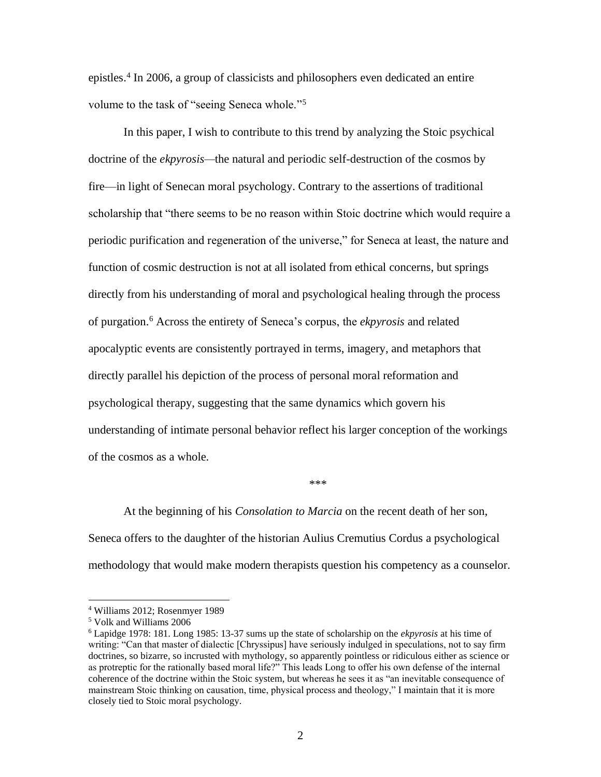epistles. 4 In 2006, a group of classicists and philosophers even dedicated an entire volume to the task of "seeing Seneca whole."<sup>5</sup>

In this paper, I wish to contribute to this trend by analyzing the Stoic psychical doctrine of the *ekpyrosis—*the natural and periodic self-destruction of the cosmos by fire—in light of Senecan moral psychology. Contrary to the assertions of traditional scholarship that "there seems to be no reason within Stoic doctrine which would require a periodic purification and regeneration of the universe," for Seneca at least, the nature and function of cosmic destruction is not at all isolated from ethical concerns, but springs directly from his understanding of moral and psychological healing through the process of purgation.<sup>6</sup> Across the entirety of Seneca's corpus, the *ekpyrosis* and related apocalyptic events are consistently portrayed in terms, imagery, and metaphors that directly parallel his depiction of the process of personal moral reformation and psychological therapy, suggesting that the same dynamics which govern his understanding of intimate personal behavior reflect his larger conception of the workings of the cosmos as a whole.

\*\*\*

At the beginning of his *Consolation to Marcia* on the recent death of her son, Seneca offers to the daughter of the historian Aulius Cremutius Cordus a psychological methodology that would make modern therapists question his competency as a counselor.

<sup>4</sup> Williams 2012; Rosenmyer 1989

<sup>5</sup> Volk and Williams 2006

<sup>6</sup> Lapidge 1978: 181. Long 1985: 13-37 sums up the state of scholarship on the *ekpyrosis* at his time of writing: "Can that master of dialectic [Chryssipus] have seriously indulged in speculations, not to say firm doctrines, so bizarre, so incrusted with mythology, so apparently pointless or ridiculous either as science or as protreptic for the rationally based moral life?" This leads Long to offer his own defense of the internal coherence of the doctrine within the Stoic system, but whereas he sees it as "an inevitable consequence of mainstream Stoic thinking on causation, time, physical process and theology," I maintain that it is more closely tied to Stoic moral psychology.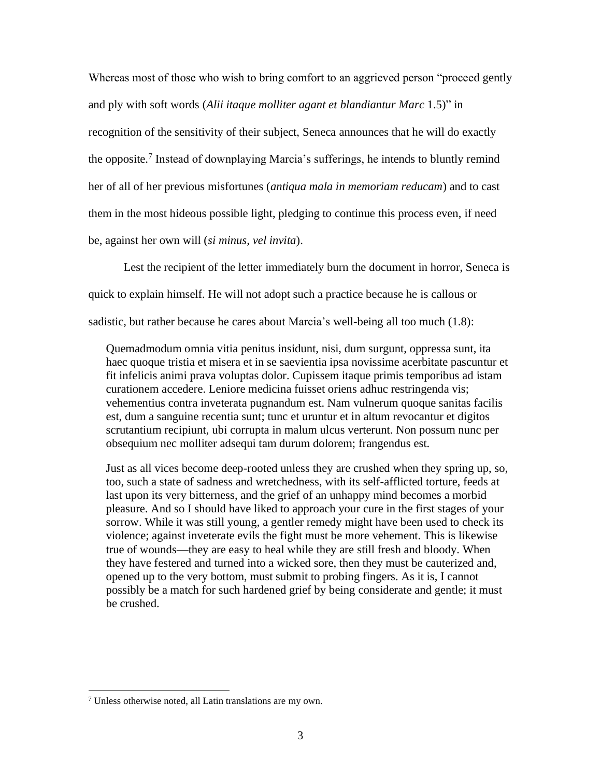Whereas most of those who wish to bring comfort to an aggrieved person "proceed gently" and ply with soft words (*Alii itaque molliter agant et blandiantur Marc* 1.5)" in

recognition of the sensitivity of their subject, Seneca announces that he will do exactly the opposite. 7 Instead of downplaying Marcia's sufferings, he intends to bluntly remind her of all of her previous misfortunes (*antiqua mala in memoriam reducam*) and to cast them in the most hideous possible light, pledging to continue this process even, if need be, against her own will (*si minus, vel invita*).

Lest the recipient of the letter immediately burn the document in horror, Seneca is quick to explain himself. He will not adopt such a practice because he is callous or sadistic, but rather because he cares about Marcia's well-being all too much (1.8):

Quemadmodum omnia vitia penitus insidunt, nisi, dum surgunt, oppressa sunt, ita haec quoque tristia et misera et in se saevientia ipsa novissime acerbitate pascuntur et fit infelicis animi prava voluptas dolor. Cupissem itaque primis temporibus ad istam curationem accedere. Leniore medicina fuisset oriens adhuc restringenda vis; vehementius contra inveterata pugnandum est. Nam vulnerum quoque sanitas facilis est, dum a sanguine recentia sunt; tunc et uruntur et in altum revocantur et digitos scrutantium recipiunt, ubi corrupta in malum ulcus verterunt. Non possum nunc per obsequium nec molliter adsequi tam durum dolorem; frangendus est.

Just as all vices become deep-rooted unless they are crushed when they spring up, so, too, such a state of sadness and wretchedness, with its self-afflicted torture, feeds at last upon its very bitterness, and the grief of an unhappy mind becomes a morbid pleasure. And so I should have liked to approach your cure in the first stages of your sorrow. While it was still young, a gentler remedy might have been used to check its violence; against inveterate evils the fight must be more vehement. This is likewise true of wounds—they are easy to heal while they are still fresh and bloody. When they have festered and turned into a wicked sore, then they must be cauterized and, opened up to the very bottom, must submit to probing fingers. As it is, I cannot possibly be a match for such hardened grief by being considerate and gentle; it must be crushed.

<sup>7</sup> Unless otherwise noted, all Latin translations are my own.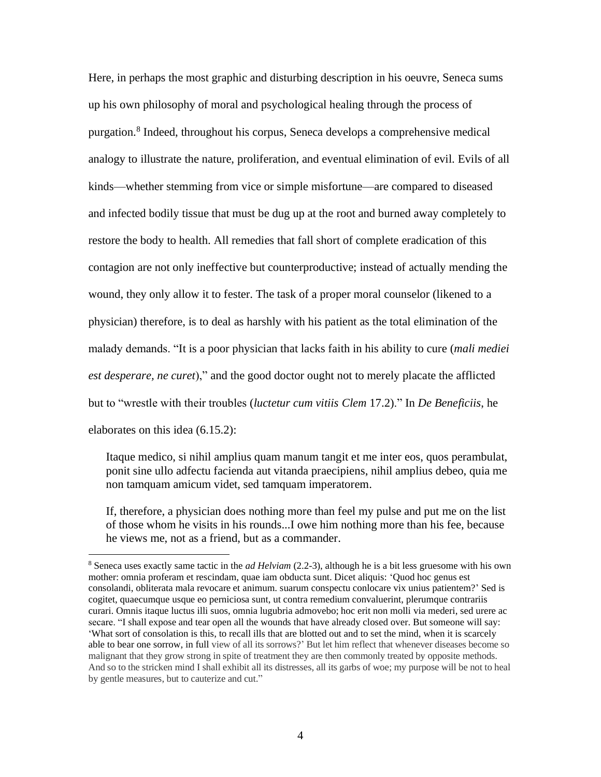Here, in perhaps the most graphic and disturbing description in his oeuvre, Seneca sums up his own philosophy of moral and psychological healing through the process of purgation.<sup>8</sup> Indeed, throughout his corpus, Seneca develops a comprehensive medical analogy to illustrate the nature, proliferation, and eventual elimination of evil. Evils of all kinds—whether stemming from vice or simple misfortune—are compared to diseased and infected bodily tissue that must be dug up at the root and burned away completely to restore the body to health. All remedies that fall short of complete eradication of this contagion are not only ineffective but counterproductive; instead of actually mending the wound, they only allow it to fester. The task of a proper moral counselor (likened to a physician) therefore, is to deal as harshly with his patient as the total elimination of the malady demands. "It is a poor physician that lacks faith in his ability to cure (*mali mediei est desperare, ne curet*)," and the good doctor ought not to merely placate the afflicted but to "wrestle with their troubles (*luctetur cum vitiis Clem* 17.2)." In *De Beneficiis*, he elaborates on this idea (6.15.2):

Itaque medico, si nihil amplius quam manum tangit et me inter eos, quos perambulat, ponit sine ullo adfectu facienda aut vitanda praecipiens, nihil amplius debeo, quia me non tamquam amicum videt, sed tamquam imperatorem.

If, therefore, a physician does nothing more than feel my pulse and put me on the list of those whom he visits in his rounds...I owe him nothing more than his fee, because he views me, not as a friend, but as a commander.

<sup>8</sup> Seneca uses exactly same tactic in the *ad Helviam* (2.2-3), although he is a bit less gruesome with his own mother: omnia proferam et rescindam, quae iam obducta sunt. Dicet aliquis: 'Quod hoc genus est consolandi, obliterata mala revocare et animum. suarum conspectu conlocare vix unius patientem?' Sed is cogitet, quaecumque usque eo perniciosa sunt, ut contra remedium convaluerint, plerumque contrariis curari. Omnis itaque luctus illi suos, omnia lugubria admovebo; hoc erit non molli via mederi, sed urere ac secare. "I shall expose and tear open all the wounds that have already closed over. But someone will say: 'What sort of consolation is this, to recall ills that are blotted out and to set the mind, when it is scarcely able to bear one sorrow, in full view of all its sorrows?' But let him reflect that whenever diseases become so malignant that they grow strong in spite of treatment they are then commonly treated by opposite methods. And so to the stricken mind I shall exhibit all its distresses, all its garbs of woe; my purpose will be not to heal by gentle measures, but to cauterize and cut."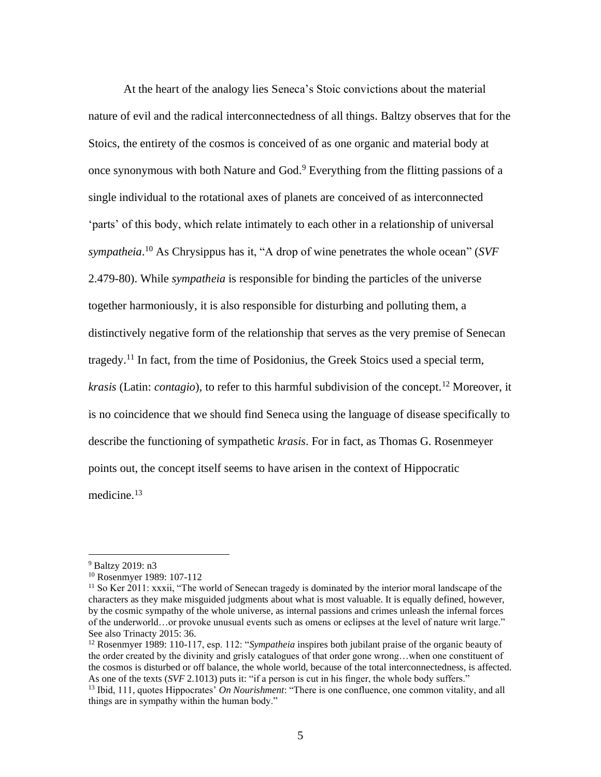At the heart of the analogy lies Seneca's Stoic convictions about the material nature of evil and the radical interconnectedness of all things. Baltzy observes that for the Stoics, the entirety of the cosmos is conceived of as one organic and material body at once synonymous with both Nature and God.<sup>9</sup> Everything from the flitting passions of a single individual to the rotational axes of planets are conceived of as interconnected 'parts' of this body, which relate intimately to each other in a relationship of universal *sympatheia*. <sup>10</sup> As Chrysippus has it, "A drop of wine penetrates the whole ocean" (*SVF* 2.479-80). While *sympatheia* is responsible for binding the particles of the universe together harmoniously, it is also responsible for disturbing and polluting them, a distinctively negative form of the relationship that serves as the very premise of Senecan tragedy.<sup>11</sup> In fact, from the time of Posidonius, the Greek Stoics used a special term, *krasis* (Latin: *contagio*)*,* to refer to this harmful subdivision of the concept.<sup>12</sup> Moreover, it is no coincidence that we should find Seneca using the language of disease specifically to describe the functioning of sympathetic *krasis*. For in fact, as Thomas G. Rosenmeyer points out, the concept itself seems to have arisen in the context of Hippocratic medicine.<sup>13</sup>

<sup>9</sup> Baltzy 2019: n3

<sup>10</sup> Rosenmyer 1989: 107-112

 $11$  So Ker 2011: xxxii, "The world of Senecan tragedy is dominated by the interior moral landscape of the characters as they make misguided judgments about what is most valuable. It is equally defined, however, by the cosmic sympathy of the whole universe, as internal passions and crimes unleash the infernal forces of the underworld…or provoke unusual events such as omens or eclipses at the level of nature writ large." See also Trinacty 2015: 36.

<sup>12</sup> Rosenmyer 1989: 110-117, esp. 112: "*Sympatheia* inspires both jubilant praise of the organic beauty of the order created by the divinity and grisly catalogues of that order gone wrong…when one constituent of the cosmos is disturbed or off balance, the whole world, because of the total interconnectedness, is affected. As one of the texts (*SVF* 2.1013) puts it: "if a person is cut in his finger, the whole body suffers."

<sup>13</sup> Ibid, 111, quotes Hippocrates' *On Nourishment*: "There is one confluence, one common vitality, and all things are in sympathy within the human body."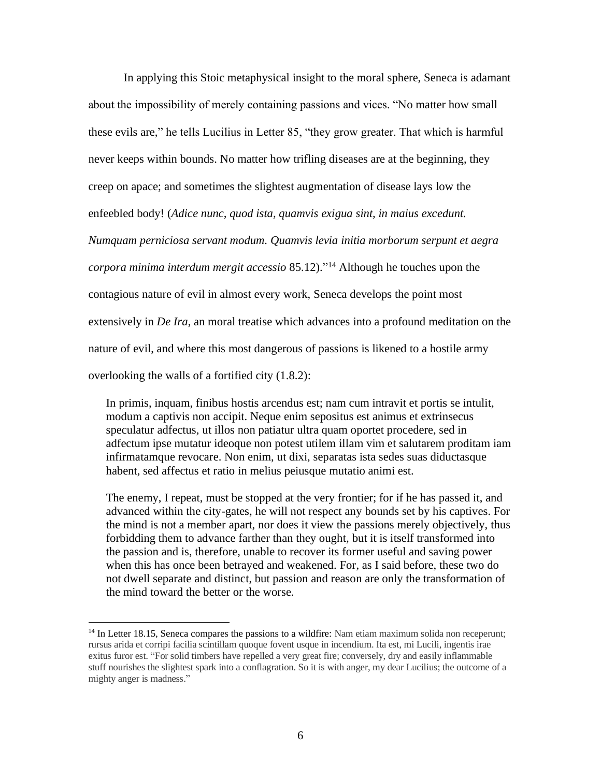In applying this Stoic metaphysical insight to the moral sphere, Seneca is adamant about the impossibility of merely containing passions and vices. "No matter how small these evils are," he tells Lucilius in Letter 85, "they grow greater. That which is harmful never keeps within bounds. No matter how trifling diseases are at the beginning, they creep on apace; and sometimes the slightest augmentation of disease lays low the enfeebled body! (*Adice nunc, quod ista, quamvis exigua sint, in maius excedunt. Numquam perniciosa servant modum. Quamvis levia initia morborum serpunt et aegra corpora minima interdum mergit accessio* 85.12)." <sup>14</sup> Although he touches upon the contagious nature of evil in almost every work, Seneca develops the point most extensively in *De Ira*, an moral treatise which advances into a profound meditation on the nature of evil, and where this most dangerous of passions is likened to a hostile army overlooking the walls of a fortified city (1.8.2):

In primis, inquam, finibus hostis arcendus est; nam cum intravit et portis se intulit, modum a captivis non accipit. Neque enim sepositus est animus et extrinsecus speculatur adfectus, ut illos non patiatur ultra quam oportet procedere, sed in adfectum ipse mutatur ideoque non potest utilem illam vim et salutarem proditam iam infirmatamque revocare. Non enim, ut dixi, separatas ista sedes suas diductasque habent, sed affectus et ratio in melius peiusque mutatio animi est.

The enemy, I repeat, must be stopped at the very frontier; for if he has passed it, and advanced within the city-gates, he will not respect any bounds set by his captives. For the mind is not a member apart, nor does it view the passions merely objectively, thus forbidding them to advance farther than they ought, but it is itself transformed into the passion and is, therefore, unable to recover its former useful and saving power when this has once been betrayed and weakened. For, as I said before, these two do not dwell separate and distinct, but passion and reason are only the transformation of the mind toward the better or the worse.

 $14$  In Letter 18.15, Seneca compares the passions to a wildfire: Nam etiam maximum solida non receperunt; rursus arida et corripi facilia scintillam quoque fovent usque in incendium. Ita est, mi Lucili, ingentis irae exitus furor est. "For solid timbers have repelled a very great fire; conversely, dry and easily inflammable stuff nourishes the slightest spark into a conflagration. So it is with anger, my dear Lucilius; the outcome of a mighty anger is madness."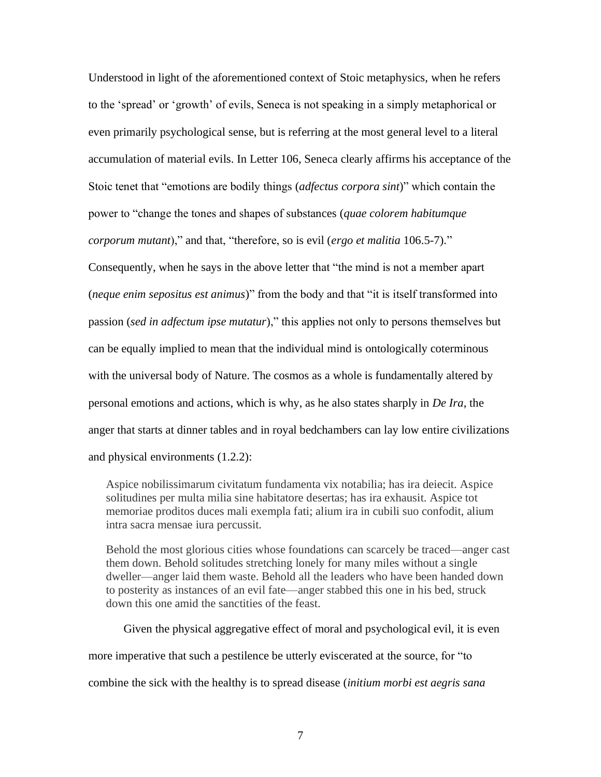Understood in light of the aforementioned context of Stoic metaphysics, when he refers to the 'spread' or 'growth' of evils, Seneca is not speaking in a simply metaphorical or even primarily psychological sense, but is referring at the most general level to a literal accumulation of material evils. In Letter 106, Seneca clearly affirms his acceptance of the Stoic tenet that "emotions are bodily things (*adfectus corpora sint*)" which contain the power to "change the tones and shapes of substances (*quae colorem habitumque corporum mutant*)," and that, "therefore, so is evil (*ergo et malitia* 106.5-7)." Consequently, when he says in the above letter that "the mind is not a member apart (*neque enim sepositus est animus*)" from the body and that "it is itself transformed into passion (*sed in adfectum ipse mutatur*)," this applies not only to persons themselves but can be equally implied to mean that the individual mind is ontologically coterminous with the universal body of Nature. The cosmos as a whole is fundamentally altered by personal emotions and actions, which is why, as he also states sharply in *De Ira*, the anger that starts at dinner tables and in royal bedchambers can lay low entire civilizations and physical environments (1.2.2):

Aspice nobilissimarum civitatum fundamenta vix notabilia; has ira deiecit. Aspice solitudines per multa milia sine habitatore desertas; has ira exhausit. Aspice tot memoriae proditos duces mali exempla fati; alium ira in cubili suo confodit, alium intra sacra mensae iura percussit.

Behold the most glorious cities whose foundations can scarcely be traced—anger cast them down. Behold solitudes stretching lonely for many miles without a single dweller—anger laid them waste. Behold all the leaders who have been handed down to posterity as instances of an evil fate—anger stabbed this one in his bed, struck down this one amid the sanctities of the feast.

Given the physical aggregative effect of moral and psychological evil, it is even more imperative that such a pestilence be utterly eviscerated at the source, for "to combine the sick with the healthy is to spread disease (*initium morbi est aegris sana*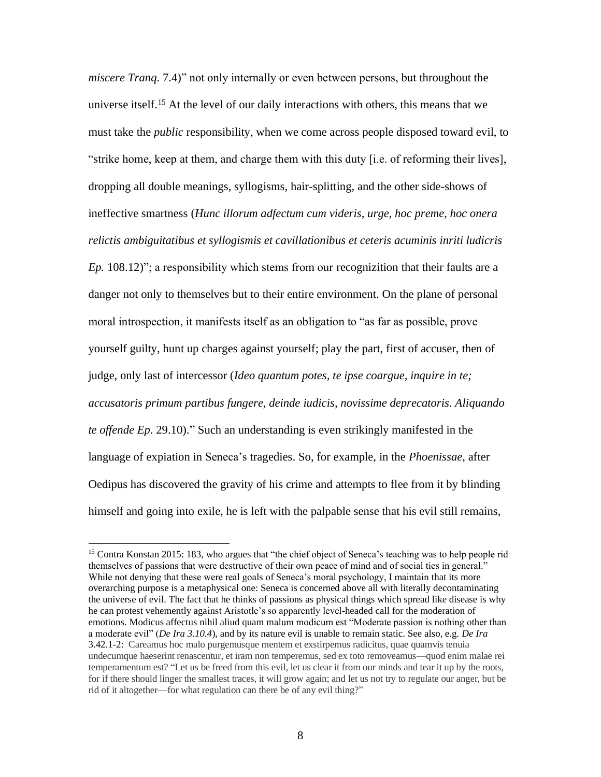*miscere Tranq*. 7.4)" not only internally or even between persons, but throughout the universe itself.<sup>15</sup> At the level of our daily interactions with others, this means that we must take the *public* responsibility, when we come across people disposed toward evil, to "strike home, keep at them, and charge them with this duty [i.e. of reforming their lives], dropping all double meanings, syllogisms, hair-splitting, and the other side-shows of ineffective smartness (*Hunc illorum adfectum cum videris, urge, hoc preme, hoc onera relictis ambiguitatibus et syllogismis et cavillationibus et ceteris acuminis inriti ludicris Ep.* 108.12)"; a responsibility which stems from our recognizition that their faults are a danger not only to themselves but to their entire environment. On the plane of personal moral introspection, it manifests itself as an obligation to "as far as possible, prove yourself guilty, hunt up charges against yourself; play the part, first of accuser, then of judge, only last of intercessor (*Ideo quantum potes, te ipse coargue, inquire in te; accusatoris primum partibus fungere, deinde iudicis, novissime deprecatoris. Aliquando te offende Ep*. 29.10)." Such an understanding is even strikingly manifested in the language of expiation in Seneca's tragedies. So, for example, in the *Phoenissae*, after Oedipus has discovered the gravity of his crime and attempts to flee from it by blinding himself and going into exile, he is left with the palpable sense that his evil still remains,

<sup>&</sup>lt;sup>15</sup> Contra Konstan 2015: 183, who argues that "the chief object of Seneca's teaching was to help people rid themselves of passions that were destructive of their own peace of mind and of social ties in general." While not denying that these were real goals of Seneca's moral psychology, I maintain that its more overarching purpose is a metaphysical one: Seneca is concerned above all with literally decontaminating the universe of evil. The fact that he thinks of passions as physical things which spread like disease is why he can protest vehemently against Aristotle's so apparently level-headed call for the moderation of emotions. Modicus affectus nihil aliud quam malum modicum est "Moderate passion is nothing other than a moderate evil" (*De Ira 3.10.4*), and by its nature evil is unable to remain static. See also, e.g. *De Ira* 3.42.1-2: Careamus hoc malo purgemusque mentem et exstirpemus radicitus, quae quamvis tenuia undecumque haeserint renascentur, et iram non temperemus, sed ex toto removeamus—quod enim malae rei temperamentum est? "Let us be freed from this evil, let us clear it from our minds and tear it up by the roots, for if there should linger the smallest traces, it will grow again; and let us not try to regulate our anger, but be rid of it altogether—for what regulation can there be of any evil thing?"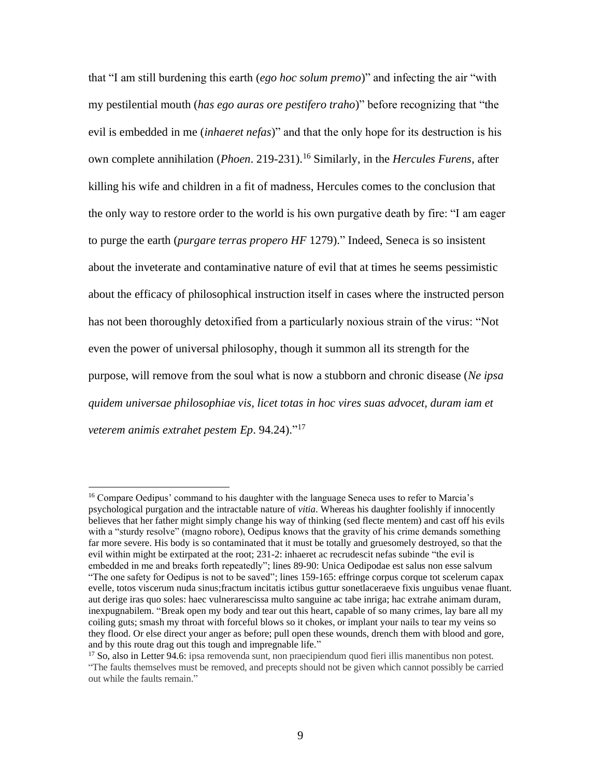that "I am still burdening this earth (*ego hoc solum premo*)" and infecting the air "with my pestilential mouth (*has ego auras ore pestifero traho*)" before recognizing that "the evil is embedded in me (*inhaeret nefas*)" and that the only hope for its destruction is his own complete annihilation (*Phoen*. 219-231). <sup>16</sup> Similarly, in the *Hercules Furens*, after killing his wife and children in a fit of madness, Hercules comes to the conclusion that the only way to restore order to the world is his own purgative death by fire: "I am eager to purge the earth (*purgare terras propero HF* 1279)." Indeed, Seneca is so insistent about the inveterate and contaminative nature of evil that at times he seems pessimistic about the efficacy of philosophical instruction itself in cases where the instructed person has not been thoroughly detoxified from a particularly noxious strain of the virus: "Not even the power of universal philosophy, though it summon all its strength for the purpose, will remove from the soul what is now a stubborn and chronic disease (*Ne ipsa quidem universae philosophiae vis, licet totas in hoc vires suas advocet, duram iam et veterem animis extrahet pestem Ep*. 94.24)." 17

<sup>&</sup>lt;sup>16</sup> Compare Oedipus' command to his daughter with the language Seneca uses to refer to Marcia's psychological purgation and the intractable nature of *vitia*. Whereas his daughter foolishly if innocently believes that her father might simply change his way of thinking (sed flecte mentem) and cast off his evils with a "sturdy resolve" (magno robore), Oedipus knows that the gravity of his crime demands something far more severe. His body is so contaminated that it must be totally and gruesomely destroyed, so that the evil within might be extirpated at the root; 231-2: inhaeret ac recrudescit nefas subinde "the evil is embedded in me and breaks forth repeatedly"; lines 89-90: Unica Oedipodae est salus non esse salvum "The one safety for Oedipus is not to be saved"; lines 159-165: effringe corpus corque tot scelerum capax evelle, totos viscerum nuda sinus;fractum incitatis ictibus guttur sonetlaceraeve fixis unguibus venae fluant. aut derige iras quo soles: haec vulnerarescissa multo sanguine ac tabe inriga; hac extrahe animam duram, inexpugnabilem. "Break open my body and tear out this heart, capable of so many crimes, lay bare all my coiling guts; smash my throat with forceful blows so it chokes, or implant your nails to tear my veins so they flood. Or else direct your anger as before; pull open these wounds, drench them with blood and gore, and by this route drag out this tough and impregnable life."

<sup>&</sup>lt;sup>17</sup> So, also in Letter 94.6: ipsa removenda sunt, non praecipiendum quod fieri illis manentibus non potest. "The faults themselves must be removed, and precepts should not be given which cannot possibly be carried out while the faults remain."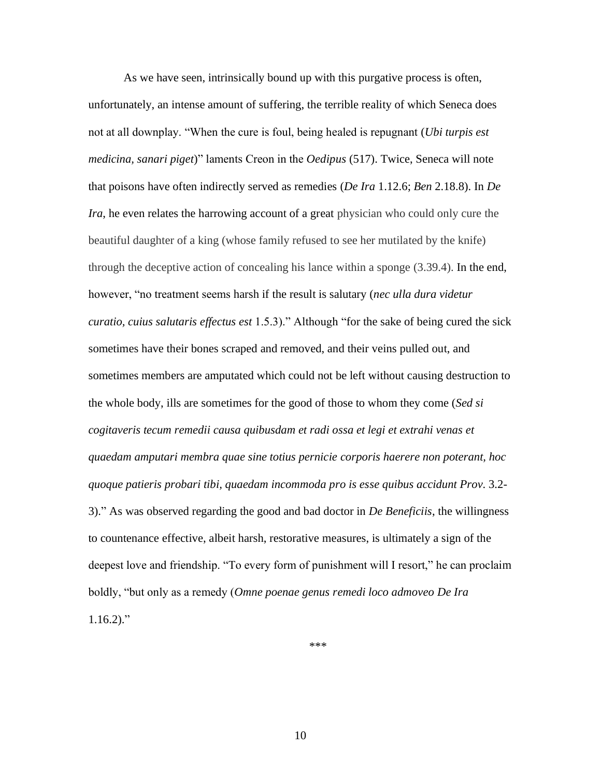As we have seen, intrinsically bound up with this purgative process is often, unfortunately, an intense amount of suffering, the terrible reality of which Seneca does not at all downplay. "When the cure is foul, being healed is repugnant (*Ubi turpis est medicina, sanari piget*)" laments Creon in the *Oedipus* (517). Twice, Seneca will note that poisons have often indirectly served as remedies (*De Ira* 1.12.6; *Ben* 2.18.8). In *De Ira*, he even relates the harrowing account of a great physician who could only cure the beautiful daughter of a king (whose family refused to see her mutilated by the knife) through the deceptive action of concealing his lance within a sponge (3.39.4). In the end, however, "no treatment seems harsh if the result is salutary (*nec ulla dura videtur curatio, cuius salutaris effectus est* 1.5.3)." Although "for the sake of being cured the sick sometimes have their bones scraped and removed, and their veins pulled out, and sometimes members are amputated which could not be left without causing destruction to the whole body, ills are sometimes for the good of those to whom they come (*Sed si cogitaveris tecum remedii causa quibusdam et radi ossa et legi et extrahi venas et quaedam amputari membra quae sine totius pernicie corporis haerere non poterant, hoc quoque patieris probari tibi, quaedam incommoda pro is esse quibus accidunt Prov*. 3.2- 3)." As was observed regarding the good and bad doctor in *De Beneficiis*, the willingness to countenance effective, albeit harsh, restorative measures, is ultimately a sign of the deepest love and friendship. "To every form of punishment will I resort," he can proclaim boldly, "but only as a remedy (*Omne poenae genus remedi loco admoveo De Ira*  $1.16.2$ )."

\*\*\*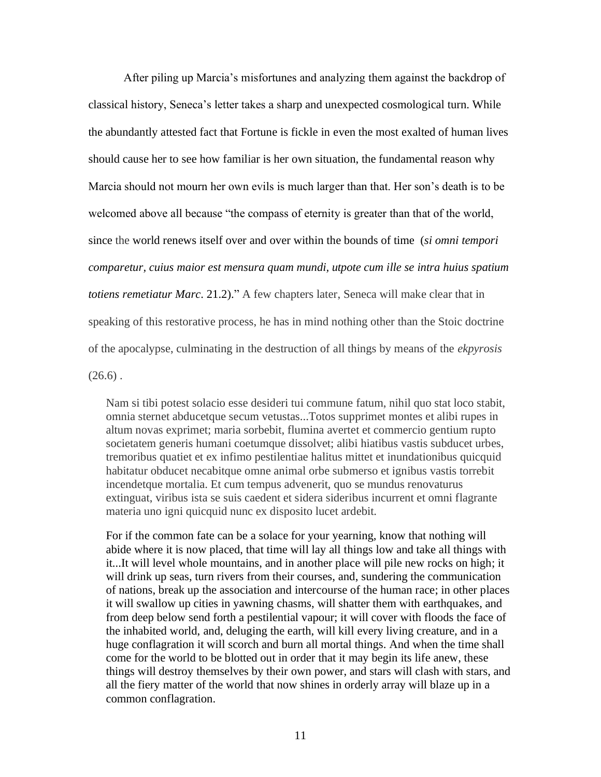After piling up Marcia's misfortunes and analyzing them against the backdrop of classical history, Seneca's letter takes a sharp and unexpected cosmological turn. While the abundantly attested fact that Fortune is fickle in even the most exalted of human lives should cause her to see how familiar is her own situation, the fundamental reason why Marcia should not mourn her own evils is much larger than that. Her son's death is to be welcomed above all because "the compass of eternity is greater than that of the world, since the world renews itself over and over within the bounds of time (*si omni tempori comparetur, cuius maior est mensura quam mundi, utpote cum ille se intra huius spatium totiens remetiatur Marc*. 21.2)." A few chapters later, Seneca will make clear that in speaking of this restorative process, he has in mind nothing other than the Stoic doctrine of the apocalypse, culminating in the destruction of all things by means of the *ekpyrosis*  $(26.6)$ .

Nam si tibi potest solacio esse desideri tui commune fatum, nihil quo stat loco stabit, omnia sternet abducetque secum vetustas...Totos supprimet montes et alibi rupes in altum novas exprimet; maria sorbebit, flumina avertet et commercio gentium rupto societatem generis humani coetumque dissolvet; alibi hiatibus vastis subducet urbes, tremoribus quatiet et ex infimo pestilentiae halitus mittet et inundationibus quicquid habitatur obducet necabitque omne animal orbe submerso et ignibus vastis torrebit incendetque mortalia. Et cum tempus advenerit, quo se mundus renovaturus extinguat, viribus ista se suis caedent et sidera sideribus incurrent et omni flagrante materia uno igni quicquid nunc ex disposito lucet ardebit.

For if the common fate can be a solace for your yearning, know that nothing will abide where it is now placed, that time will lay all things low and take all things with it...It will level whole mountains, and in another place will pile new rocks on high; it will drink up seas, turn rivers from their courses, and, sundering the communication of nations, break up the association and intercourse of the human race; in other places it will swallow up cities in yawning chasms, will shatter them with earthquakes, and from deep below send forth a pestilential vapour; it will cover with floods the face of the inhabited world, and, deluging the earth, will kill every living creature, and in a huge conflagration it will scorch and burn all mortal things. And when the time shall come for the world to be blotted out in order that it may begin its life anew, these things will destroy themselves by their own power, and stars will clash with stars, and all the fiery matter of the world that now shines in orderly array will blaze up in a common conflagration.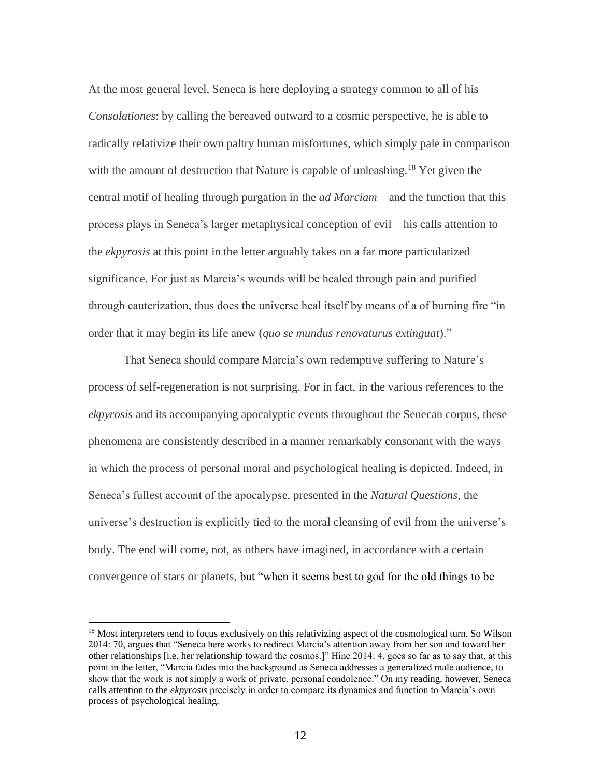At the most general level, Seneca is here deploying a strategy common to all of his *Consolationes*: by calling the bereaved outward to a cosmic perspective, he is able to radically relativize their own paltry human misfortunes, which simply pale in comparison with the amount of destruction that Nature is capable of unleashing.<sup>18</sup> Yet given the central motif of healing through purgation in the *ad Marciam*—and the function that this process plays in Seneca's larger metaphysical conception of evil—his calls attention to the *ekpyrosis* at this point in the letter arguably takes on a far more particularized significance. For just as Marcia's wounds will be healed through pain and purified through cauterization, thus does the universe heal itself by means of a of burning fire "in order that it may begin its life anew (*quo se mundus renovaturus extinguat*)."

That Seneca should compare Marcia's own redemptive suffering to Nature's process of self-regeneration is not surprising. For in fact, in the various references to the *ekpyrosis* and its accompanying apocalyptic events throughout the Senecan corpus, these phenomena are consistently described in a manner remarkably consonant with the ways in which the process of personal moral and psychological healing is depicted. Indeed, in Seneca's fullest account of the apocalypse, presented in the *Natural Questions*, the universe's destruction is explicitly tied to the moral cleansing of evil from the universe's body. The end will come, not, as others have imagined, in accordance with a certain convergence of stars or planets, but "when it seems best to god for the old things to be

<sup>&</sup>lt;sup>18</sup> Most interpreters tend to focus exclusively on this relativizing aspect of the cosmological turn. So Wilson 2014: 70, argues that "Seneca here works to redirect Marcia's attention away from her son and toward her other relationships [i.e. her relationship toward the cosmos.]" Hine 2014: 4, goes so far as to say that, at this point in the letter, "Marcia fades into the background as Seneca addresses a generalized male audience, to show that the work is not simply a work of private, personal condolence." On my reading, however, Seneca calls attention to the *ekpyrosis* precisely in order to compare its dynamics and function to Marcia's own process of psychological healing.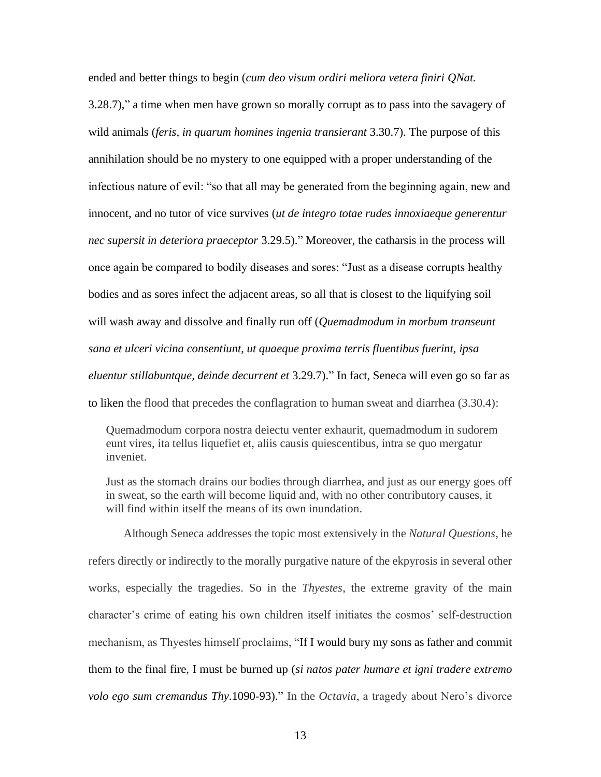ended and better things to begin (*cum deo visum ordiri meliora vetera finiri QNat.* 

3.28.7)," a time when men have grown so morally corrupt as to pass into the savagery of wild animals (*feris, in quarum homines ingenia transierant* 3.30.7). The purpose of this annihilation should be no mystery to one equipped with a proper understanding of the infectious nature of evil: "so that all may be generated from the beginning again, new and innocent, and no tutor of vice survives (*ut de integro totae rudes innoxiaeque generentur nec supersit in deteriora praeceptor* 3.29.5)." Moreover, the catharsis in the process will once again be compared to bodily diseases and sores: "Just as a disease corrupts healthy bodies and as sores infect the adjacent areas, so all that is closest to the liquifying soil will wash away and dissolve and finally run off (*Quemadmodum in morbum transeunt sana et ulceri vicina consentiunt, ut quaeque proxima terris fluentibus fuerint, ipsa eluentur stillabuntque, deinde decurrent et* 3.29.7)." In fact, Seneca will even go so far as to liken the flood that precedes the conflagration to human sweat and diarrhea (3.30.4):

Quemadmodum corpora nostra deiectu venter exhaurit, quemadmodum in sudorem eunt vires, ita tellus liquefiet et, aliis causis quiescentibus, intra se quo mergatur inveniet.

Just as the stomach drains our bodies through diarrhea, and just as our energy goes off in sweat, so the earth will become liquid and, with no other contributory causes, it will find within itself the means of its own inundation.

Although Seneca addresses the topic most extensively in the *Natural Questions*, he refers directly or indirectly to the morally purgative nature of the ekpyrosis in several other works, especially the tragedies. So in the *Thyestes*, the extreme gravity of the main character's crime of eating his own children itself initiates the cosmos' self-destruction mechanism, as Thyestes himself proclaims, "If I would bury my sons as father and commit them to the final fire, I must be burned up (*si natos pater humare et igni tradere extremo volo ego sum cremandus Thy*.1090-93)." In the *Octavia*, a tragedy about Nero's divorce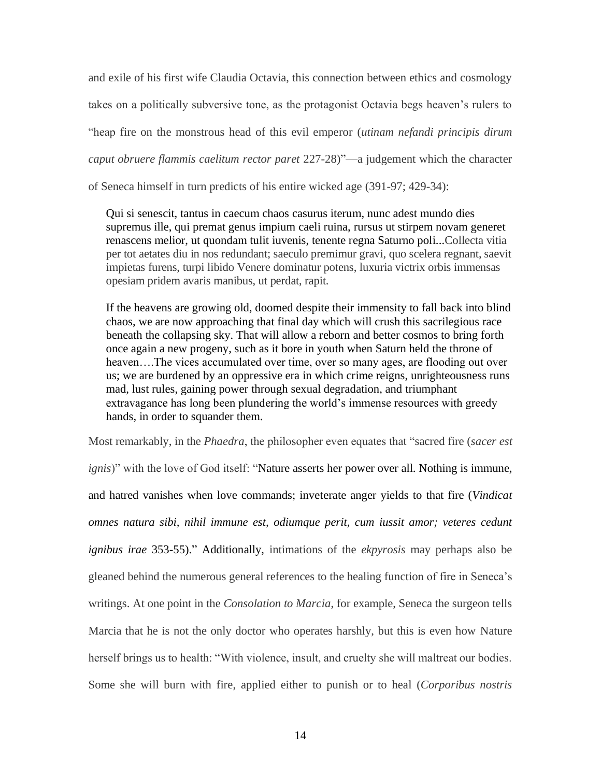and exile of his first wife Claudia Octavia, this connection between ethics and cosmology takes on a politically subversive tone, as the protagonist Octavia begs heaven's rulers to "heap fire on the monstrous head of this evil emperor (*utinam nefandi principis dirum caput obruere flammis caelitum rector paret* 227-28)"—a judgement which the character of Seneca himself in turn predicts of his entire wicked age (391-97; 429-34):

Qui si senescit, tantus in caecum chaos casurus iterum, nunc adest mundo dies supremus ille, qui premat genus impium caeli ruina, rursus ut stirpem novam generet renascens melior, ut quondam tulit iuvenis, tenente regna Saturno poli...Collecta vitia per tot aetates diu in nos redundant; saeculo premimur gravi, quo scelera regnant, saevit impietas furens, turpi libido Venere dominatur potens, luxuria victrix orbis immensas opesiam pridem avaris manibus, ut perdat, rapit.

If the heavens are growing old, doomed despite their immensity to fall back into blind chaos, we are now approaching that final day which will crush this sacrilegious race beneath the collapsing sky. That will allow a reborn and better cosmos to bring forth once again a new progeny, such as it bore in youth when Saturn held the throne of heaven….The vices accumulated over time, over so many ages, are flooding out over us; we are burdened by an oppressive era in which crime reigns, unrighteousness runs mad, lust rules, gaining power through sexual degradation, and triumphant extravagance has long been plundering the world's immense resources with greedy hands, in order to squander them.

Most remarkably, in the *Phaedra*, the philosopher even equates that "sacred fire (*sacer est* 

*ignis*)" with the love of God itself: "Nature asserts her power over all. Nothing is immune, and hatred vanishes when love commands; inveterate anger yields to that fire (*Vindicat omnes natura sibi, nihil immune est, odiumque perit, cum iussit amor; veteres cedunt ignibus irae* 353-55)." Additionally, intimations of the *ekpyrosis* may perhaps also be gleaned behind the numerous general references to the healing function of fire in Seneca's writings. At one point in the *Consolation to Marcia*, for example, Seneca the surgeon tells Marcia that he is not the only doctor who operates harshly, but this is even how Nature herself brings us to health: "With violence, insult, and cruelty she will maltreat our bodies. Some she will burn with fire, applied either to punish or to heal (*Corporibus nostris*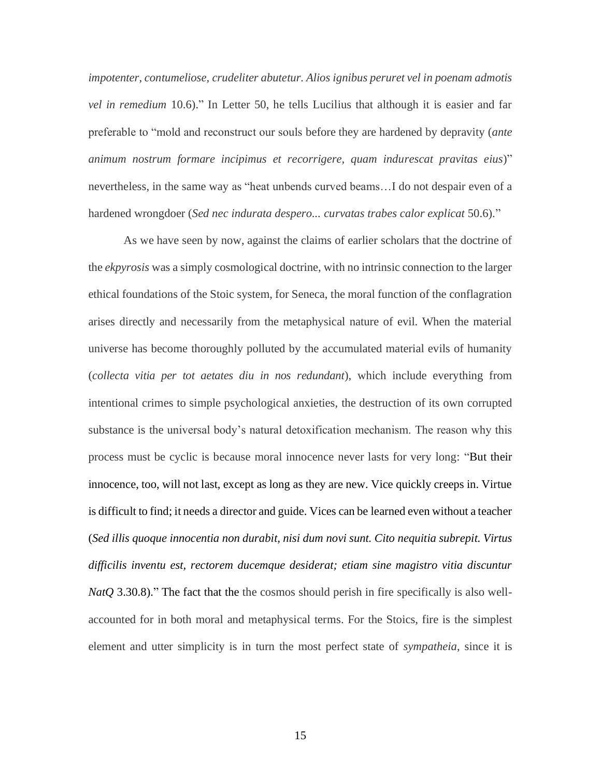*impotenter, contumeliose, crudeliter abutetur. Alios ignibus peruret vel in poenam admotis vel in remedium* 10.6)." In Letter 50, he tells Lucilius that although it is easier and far preferable to "mold and reconstruct our souls before they are hardened by depravity (*ante animum nostrum formare incipimus et recorrigere, quam indurescat pravitas eius*)" nevertheless, in the same way as "heat unbends curved beams…I do not despair even of a hardened wrongdoer (*Sed nec indurata despero... curvatas trabes calor explicat* 50.6)."

As we have seen by now, against the claims of earlier scholars that the doctrine of the *ekpyrosis* was a simply cosmological doctrine, with no intrinsic connection to the larger ethical foundations of the Stoic system, for Seneca, the moral function of the conflagration arises directly and necessarily from the metaphysical nature of evil. When the material universe has become thoroughly polluted by the accumulated material evils of humanity (*collecta vitia per tot aetates diu in nos redundant*), which include everything from intentional crimes to simple psychological anxieties, the destruction of its own corrupted substance is the universal body's natural detoxification mechanism. The reason why this process must be cyclic is because moral innocence never lasts for very long: "But their innocence, too, will not last, except as long as they are new. Vice quickly creeps in. Virtue is difficult to find; it needs a director and guide. Vices can be learned even without a teacher (*Sed illis quoque innocentia non durabit, nisi dum novi sunt. Cito nequitia subrepit. Virtus difficilis inventu est, rectorem ducemque desiderat; etiam sine magistro vitia discuntur NatQ* 3.30.8)." The fact that the the cosmos should perish in fire specifically is also wellaccounted for in both moral and metaphysical terms. For the Stoics, fire is the simplest element and utter simplicity is in turn the most perfect state of *sympatheia*, since it is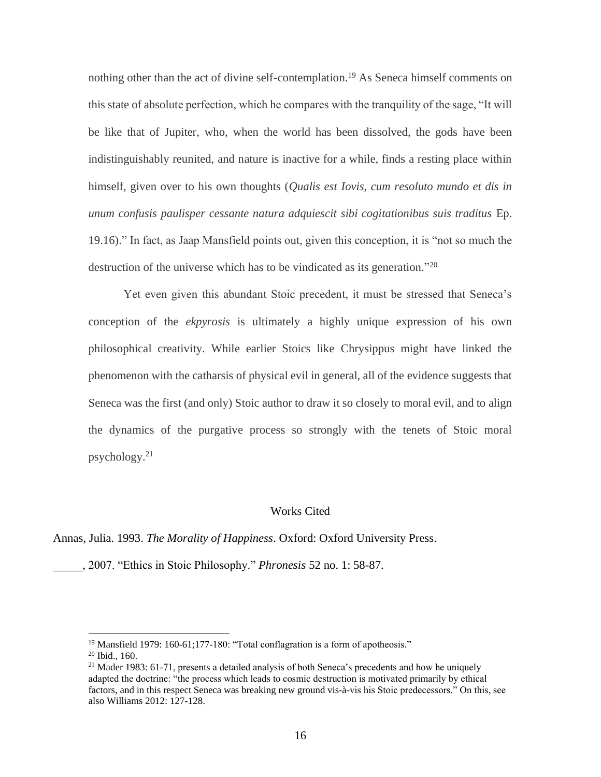nothing other than the act of divine self-contemplation.<sup>19</sup> As Seneca himself comments on this state of absolute perfection, which he compares with the tranquility of the sage, "It will be like that of Jupiter, who, when the world has been dissolved, the gods have been indistinguishably reunited, and nature is inactive for a while, finds a resting place within himself, given over to his own thoughts (*Qualis est Iovis, cum resoluto mundo et dis in unum confusis paulisper cessante natura adquiescit sibi cogitationibus suis traditus* Ep. 19.16)." In fact, as Jaap Mansfield points out, given this conception, it is "not so much the destruction of the universe which has to be vindicated as its generation." 20

Yet even given this abundant Stoic precedent, it must be stressed that Seneca's conception of the *ekpyrosis* is ultimately a highly unique expression of his own philosophical creativity. While earlier Stoics like Chrysippus might have linked the phenomenon with the catharsis of physical evil in general, all of the evidence suggests that Seneca was the first (and only) Stoic author to draw it so closely to moral evil, and to align the dynamics of the purgative process so strongly with the tenets of Stoic moral psychology.<sup>21</sup>

## Works Cited

## Annas, Julia. 1993. *The Morality of Happiness*. Oxford: Oxford University Press.

\_\_\_\_\_, 2007. "Ethics in Stoic Philosophy." *Phronesis* 52 no. 1: 58-87.

<sup>&</sup>lt;sup>19</sup> Mansfield 1979: 160-61;177-180: "Total conflagration is a form of apotheosis."

 $20$  Ibid., 160.

<sup>&</sup>lt;sup>21</sup> Mader 1983: 61-71, presents a detailed analysis of both Seneca's precedents and how he uniquely adapted the doctrine: "the process which leads to cosmic destruction is motivated primarily by ethical factors, and in this respect Seneca was breaking new ground vis-à-vis his Stoic predecessors." On this, see also Williams 2012: 127-128.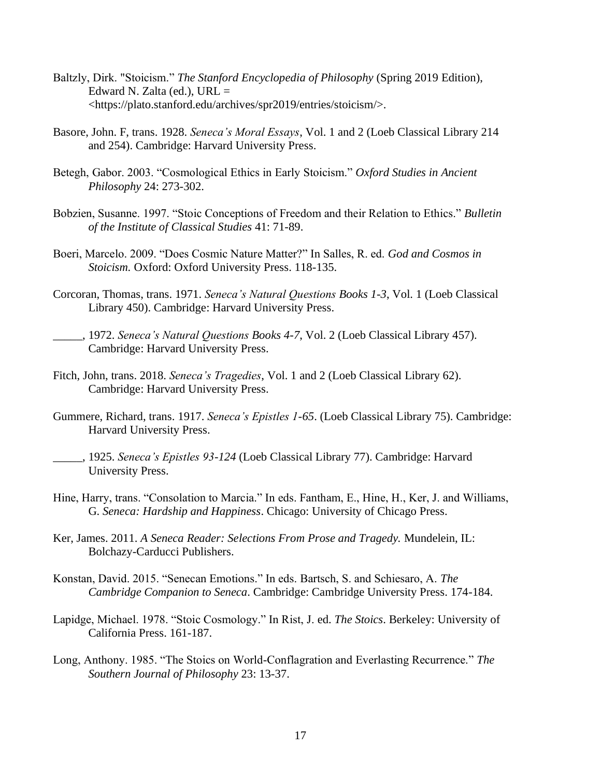- Baltzly, Dirk. "Stoicism." *The Stanford Encyclopedia of Philosophy* (Spring 2019 Edition), Edward N. Zalta (ed.),  $URL =$ <https://plato.stanford.edu/archives/spr2019/entries/stoicism/>.
- Basore, John. F, trans. 1928. *Seneca's Moral Essays*, Vol. 1 and 2 (Loeb Classical Library 214 and 254). Cambridge: Harvard University Press.
- Betegh, Gabor. 2003. "Cosmological Ethics in Early Stoicism." *Oxford Studies in Ancient Philosophy* 24: 273-302.
- Bobzien, Susanne. 1997. "Stoic Conceptions of Freedom and their Relation to Ethics." *Bulletin of the Institute of Classical Studies* 41: 71-89.
- Boeri, Marcelo. 2009. "Does Cosmic Nature Matter?" In Salles, R. ed. *God and Cosmos in Stoicism.* Oxford: Oxford University Press. 118-135.
- Corcoran, Thomas, trans. 1971. *Seneca's Natural Questions Books 1-3*, Vol. 1 (Loeb Classical Library 450). Cambridge: Harvard University Press.
- \_\_\_\_\_, 1972. *Seneca's Natural Questions Books 4-7*, Vol. 2 (Loeb Classical Library 457). Cambridge: Harvard University Press.
- Fitch, John, trans. 2018. *Seneca's Tragedies*, Vol. 1 and 2 (Loeb Classical Library 62). Cambridge: Harvard University Press.
- Gummere, Richard, trans. 1917. *Seneca's Epistles 1-65*. (Loeb Classical Library 75). Cambridge: Harvard University Press.
- \_\_\_\_\_, 1925. *Seneca's Epistles 93-124* (Loeb Classical Library 77). Cambridge: Harvard University Press.
- Hine, Harry, trans. "Consolation to Marcia." In eds. Fantham, E., Hine, H., Ker, J. and Williams, G. *Seneca: Hardship and Happiness*. Chicago: University of Chicago Press.
- Ker, James. 2011. *A Seneca Reader: Selections From Prose and Tragedy.* Mundelein, IL: Bolchazy-Carducci Publishers.
- Konstan, David. 2015. "Senecan Emotions." In eds. Bartsch, S. and Schiesaro, A. *The Cambridge Companion to Seneca*. Cambridge: Cambridge University Press. 174-184.
- Lapidge, Michael. 1978. "Stoic Cosmology." In Rist, J. ed. *The Stoics*. Berkeley: University of California Press. 161-187.
- Long, Anthony. 1985. "The Stoics on World-Conflagration and Everlasting Recurrence." *The Southern Journal of Philosophy* 23: 13-37.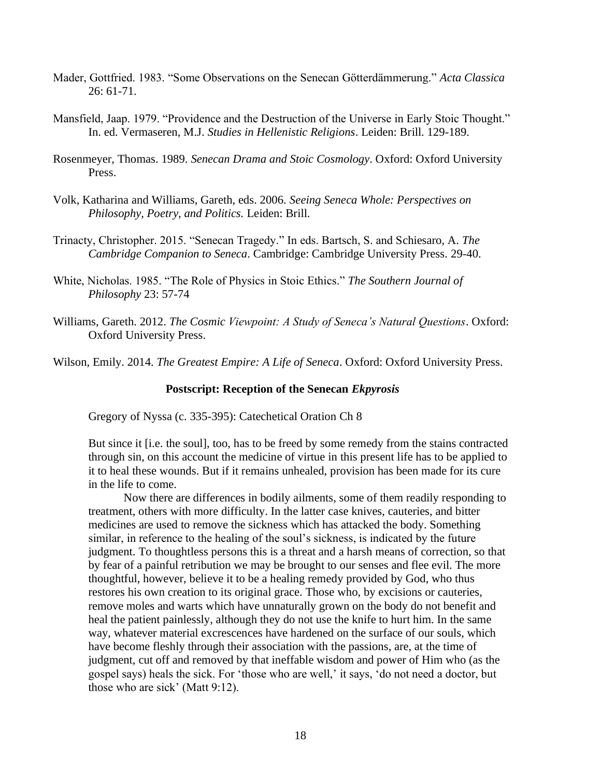- Mader, Gottfried. 1983. "Some Observations on the Senecan Götterdämmerung." *Acta Classica*  $26: 61-71$ .
- Mansfield, Jaap. 1979. "Providence and the Destruction of the Universe in Early Stoic Thought." In. ed. Vermaseren, M.J. *Studies in Hellenistic Religions*. Leiden: Brill. 129-189.
- Rosenmeyer, Thomas. 1989. *Senecan Drama and Stoic Cosmology*. Oxford: Oxford University Press.
- Volk, Katharina and Williams, Gareth, eds. 2006. *Seeing Seneca Whole: Perspectives on Philosophy, Poetry, and Politics.* Leiden: Brill.
- Trinacty, Christopher. 2015. "Senecan Tragedy." In eds. Bartsch, S. and Schiesaro, A. *The Cambridge Companion to Seneca*. Cambridge: Cambridge University Press. 29-40.
- White, Nicholas. 1985. "The Role of Physics in Stoic Ethics." *The Southern Journal of Philosophy* 23: 57-74
- Williams, Gareth. 2012. *The Cosmic Viewpoint: A Study of Seneca's Natural Questions*. Oxford: Oxford University Press.

Wilson, Emily. 2014. *The Greatest Empire: A Life of Seneca*. Oxford: Oxford University Press.

## **Postscript: Reception of the Senecan** *Ekpyrosis*

Gregory of Nyssa (c. 335-395): Catechetical Oration Ch 8

But since it [i.e. the soul], too, has to be freed by some remedy from the stains contracted through sin, on this account the medicine of virtue in this present life has to be applied to it to heal these wounds. But if it remains unhealed, provision has been made for its cure in the life to come.

Now there are differences in bodily ailments, some of them readily responding to treatment, others with more difficulty. In the latter case knives, cauteries, and bitter medicines are used to remove the sickness which has attacked the body. Something similar, in reference to the healing of the soul's sickness, is indicated by the future judgment. To thoughtless persons this is a threat and a harsh means of correction, so that by fear of a painful retribution we may be brought to our senses and flee evil. The more thoughtful, however, believe it to be a healing remedy provided by God, who thus restores his own creation to its original grace. Those who, by excisions or cauteries, remove moles and warts which have unnaturally grown on the body do not benefit and heal the patient painlessly, although they do not use the knife to hurt him. In the same way, whatever material excrescences have hardened on the surface of our souls, which have become fleshly through their association with the passions, are, at the time of judgment, cut off and removed by that ineffable wisdom and power of Him who (as the gospel says) heals the sick. For 'those who are well,' it says, 'do not need a doctor, but those who are sick' (Matt 9:12).